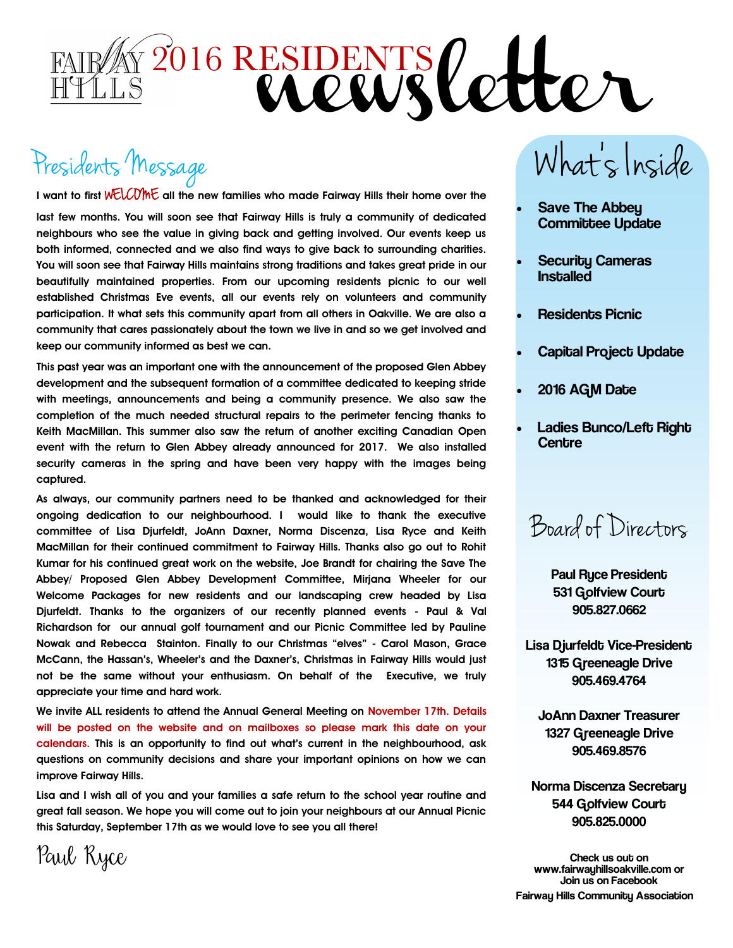

# Presidents Message

**I want to first** WELC OME **all the new families who made Fairway Hills their home over the** 

**last few months. You will soon see that Fairway Hills is truly a community of dedicated neighbours who see the value in giving back and getting involved. Our events keep us both informed, connected and we also find ways to give back to surrounding charities. You will soon see that Fairway Hills maintains strong traditions and takes great pride in our beautifully maintained properties. From our upcoming residents picnic to our well established Christmas Eve events, all our events rely on volunteers and community participation. It what sets this community apart from all others in Oakville. We are also a community that cares passionately about the town we live in and so we get involved and keep our community informed as best we can.** 

**This past year was an important one with the announcement of the proposed Glen Abbey development and the subsequent formation of a committee dedicated to keeping stride with meetings, announcements and being a community presence. We also saw the completion of the much needed structural repairs to the perimeter fencing thanks to Keith MacMillan. This summer also saw the return of another exciting Canadian Open event with the return to Glen Abbey already announced for 2017. We also installed security cameras in the spring and have been very happy with the images being captured.** 

**As always, our community partners need to be thanked and acknowledged for their ongoing dedication to our neighbourhood. I would like to thank the executive committee of Lisa Djurfeldt, JoAnn Daxner, Norma Discenza, Lisa Ryce and Keith MacMillan for their continued commitment to Fairway Hills. Thanks also go out to Rohit Kumar for his continued great work on the website, Joe Brandt for chairing the Save The Abbey/ Proposed Glen Abbey Development Committee, Mirjana Wheeler for our Welcome Packages for new residents and our landscaping crew headed by Lisa Djurfeldt. Thanks to the organizers of our recently planned events - Paul & Val Richardson for our annual golf tournament and our Picnic Committee led by Pauline Nowak and Rebecca Stainton. Finally to our Christmas "elves" - Carol Mason, Grace McCann, the Hassan's, Wheeler's and the Daxner's, Christmas in Fairway Hills would just not be the same without your enthusiasm. On behalf of the Executive, we truly appreciate your time and hard work.** 

**We invite ALL residents to attend the Annual General Meeting on November 17th. Details will be posted on the website and on mailboxes so please mark this date on your calendars. This is an opportunity to find out what's current in the neighbourhood, ask questions on community decisions and share your important opinions on how we can improve Fairway Hills.** 

**Lisa and I wish all of you and your families a safe return to the school year routine and great fall season. We hope you will come out to join your neighbours at our Annual Picnic this Saturday, September 17th as we would love to see you all there!** 

What's Inside

- Save The Abbey Committee Update
- Securitu Cameras Installed
- Residents Picnic
- Capital Project Update
- 2016 AGM Date
- Ladies Bunco/Left Right **Centre**

Board of Directors

 Paul Ryce President 531 Golfview Court 905.827.0662

Lisa Djurfeldt Vice-President 1315 Greeneagle Drive 905.469.4764

JoAnn Daxner Treasurer 1327 Greeneagle Drive 905.469.8576

Norma Discenza Secretary 544 Golfview Court 905.825.0000

Check us out on www.fairwayhillsoakville.com or Join us on Facebook **Fairway Hills Community Association** 

Paul Ryce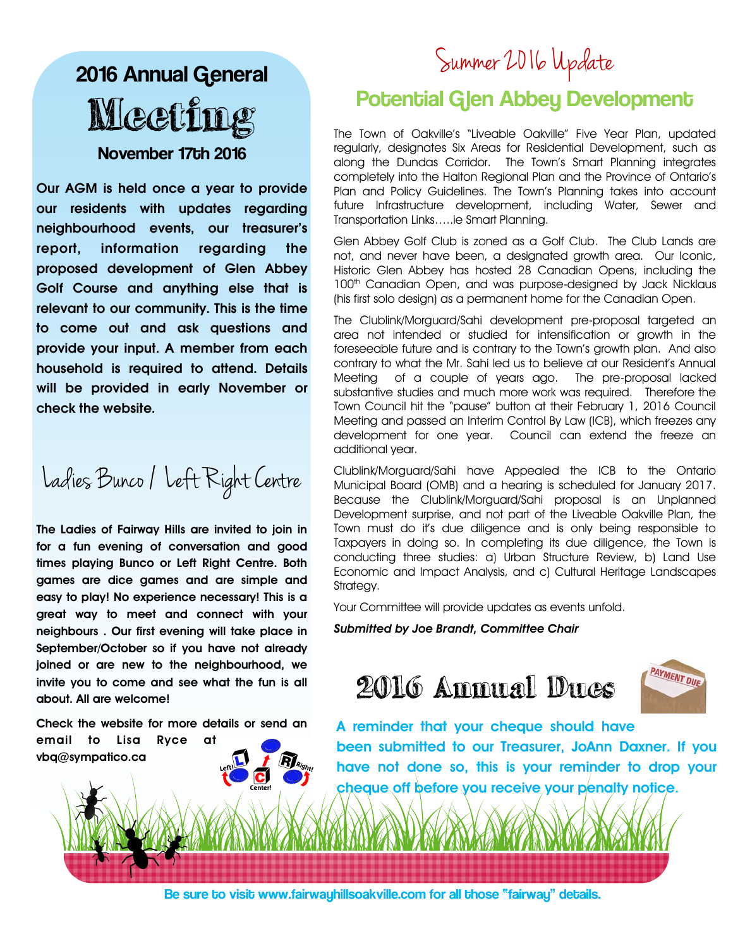## 2016 Annual General **Meeti** November 17th 2016

**Our AGM is held once a year to provide our residents with updates regarding neighbourhood events, our treasurer's report, information regarding the proposed development of Glen Abbey Golf Course and anything else that is relevant to our community. This is the time to come out and ask questions and provide your input. A member from each household is required to attend. Details will be provided in early November or check the website.** 

Ladies Bunco / Left Right Centre

**The Ladies of Fairway Hills are invited to join in for a fun evening of conversation and good times playing Bunco or Left Right Centre. Both games are dice games and are simple and easy to play! No experience necessary! This is a great way to meet and connect with your neighbours . Our first evening will take place in September/October so if you have not already joined or are new to the neighbourhood, we invite you to come and see what the fun is all about. All are welcome!** 

**Check the website for more details or send an** 



## Summer 2016 Update

## Potential Glen Abbey Development

The Town of Oakville's "Liveable Oakville" Five Year Plan, updated regularly, designates Six Areas for Residential Development, such as along the Dundas Corridor. The Town's Smart Planning integrates completely into the Halton Regional Plan and the Province of Ontario's Plan and Policy Guidelines. The Town's Planning takes into account future Infrastructure development, including Water, Sewer and Transportation Links…..ie Smart Planning.

Glen Abbey Golf Club is zoned as a Golf Club. The Club Lands are not, and never have been, a designated growth area. Our Iconic, Historic Glen Abbey has hosted 28 Canadian Opens, including the 100<sup>th</sup> Canadian Open, and was purpose-designed by Jack Nicklaus (his first solo design) as a permanent home for the Canadian Open.

The Clublink/Morguard/Sahi development pre-proposal targeted an area not intended or studied for intensification or growth in the foreseeable future and is contrary to the Town's growth plan. And also contrary to what the Mr. Sahi led us to believe at our Resident's Annual Meeting of a couple of years ago. The pre-proposal lacked substantive studies and much more work was required. Therefore the Town Council hit the "pause" button at their February 1, 2016 Council Meeting and passed an Interim Control By Law (ICB), which freezes any development for one year. Council can extend the freeze an additional year.

Clublink/Morguard/Sahi have Appealed the ICB to the Ontario Municipal Board (OMB) and a hearing is scheduled for January 2017. Because the Clublink/Morguard/Sahi proposal is an Unplanned Development surprise, and not part of the Liveable Oakville Plan, the Town must do it's due diligence and is only being responsible to Taxpayers in doing so. In completing its due diligence, the Town is conducting three studies: a) Urban Structure Review, b) Land Use Economic and Impact Analysis, and c) Cultural Heritage Landscapes Strategy.

Your Committee will provide updates as events unfold.

*Submitted by Joe Brandt, Committee Chair* 





**A reminder that your cheque should have been submitted to our Treasurer, JoAnn Daxner. If you have not done so, this is your reminder to drop your cheque off before you receive your penalty notice.** 

Be sure to visit www.fairwayhillsoakville.com for all those "fairway" details.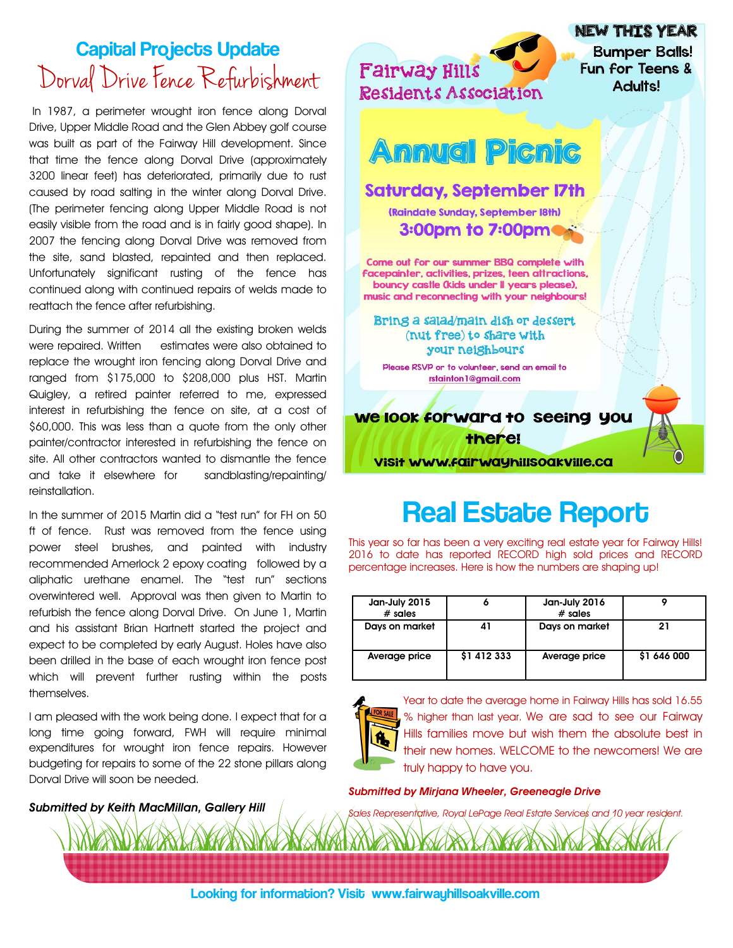## Capital Projects Update Dorval Drive Fence Refurbishment

In 1987, a perimeter wrought iron fence along Dorval Drive, Upper Middle Road and the Glen Abbey golf course was built as part of the Fairway Hill development. Since that time the fence along Dorval Drive (approximately 3200 linear feet) has deteriorated, primarily due to rust caused by road salting in the winter along Dorval Drive. (The perimeter fencing along Upper Middle Road is not easily visible from the road and is in fairly good shape). In 2007 the fencing along Dorval Drive was removed from the site, sand blasted, repainted and then replaced. Unfortunately significant rusting of the fence has continued along with continued repairs of welds made to reattach the fence after refurbishing.

During the summer of 2014 all the existing broken welds were repaired. Written estimates were also obtained to replace the wrought iron fencing along Dorval Drive and ranged from \$175,000 to \$208,000 plus HST. Martin Quigley, a retired painter referred to me, expressed interest in refurbishing the fence on site, at a cost of \$60,000. This was less than a quote from the only other painter/contractor interested in refurbishing the fence on site. All other contractors wanted to dismantle the fence and take it elsewhere for sandblasting/repainting/ reinstallation.

In the summer of 2015 Martin did a "test run" for FH on 50 ft of fence. Rust was removed from the fence using power steel brushes, and painted with industry recommended Amerlock 2 epoxy coating followed by a aliphatic urethane enamel. The "test run" sections overwintered well. Approval was then given to Martin to refurbish the fence along Dorval Drive. On June 1, Martin and his assistant Brian Hartnett started the project and expect to be completed by early August. Holes have also been drilled in the base of each wrought iron fence post which will prevent further rusting within the posts themselves.

I am pleased with the work being done. I expect that for a long time going forward, FWH will require minimal expenditures for wrought iron fence repairs. However budgeting for repairs to some of the 22 stone pillars along Dorval Drive will soon be needed.



## **Real Estate Report**

This year so far has been a very exciting real estate year for Fairway Hills! 2016 to date has reported RECORD high sold prices and RECORD percentage increases. Here is how the numbers are shaping up!

| Jan-July 2015<br>$#$ sales |             | Jan-July 2016<br>$#$ sales |             |
|----------------------------|-------------|----------------------------|-------------|
| Days on market             |             | Days on market             | 21          |
| Average price              | \$1 412 333 | Average price              | \$1 646 000 |



Year to date the average home in Fairway Hills has sold 16.55 % higher than last year. We are sad to see our Fairway Hills families move but wish them the absolute best in their new homes. WELCOME to the newcomers! We are truly happy to have you.

#### *Submitted by Mirjana Wheeler, Greeneagle Drive*

*Sales Representative, Royal LePage Real Estate Services and 10 year resident.* 

*Submitted by Keith MacMillan, Gallery Hill*

Looking for information? Visit www.fairwayhillsoakville.com